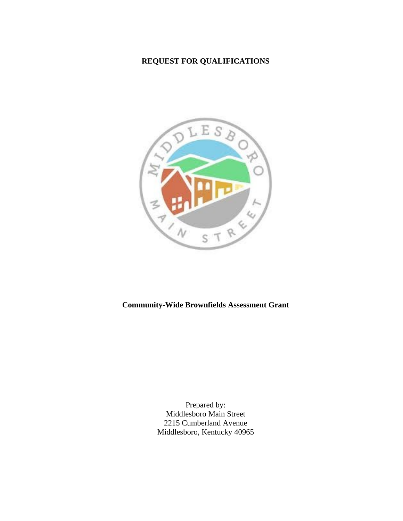# **REQUEST FOR QUALIFICATIONS**



## **Community-Wide Brownfields Assessment Grant**

Prepared by: Middlesboro Main Street 2215 Cumberland Avenue Middlesboro, Kentucky 40965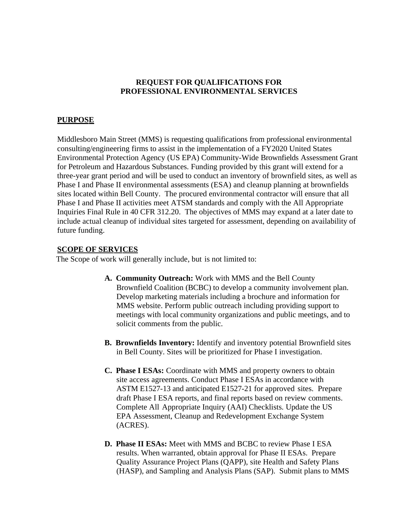#### **REQUEST FOR QUALIFICATIONS FOR PROFESSIONAL ENVIRONMENTAL SERVICES**

#### **PURPOSE**

Middlesboro Main Street (MMS) is requesting qualifications from professional environmental consulting/engineering firms to assist in the implementation of a FY2020 United States Environmental Protection Agency (US EPA) Community-Wide Brownfields Assessment Grant for Petroleum and Hazardous Substances. Funding provided by this grant will extend for a three-year grant period and will be used to conduct an inventory of brownfield sites, as well as Phase I and Phase II environmental assessments (ESA) and cleanup planning at brownfields sites located within Bell County. The procured environmental contractor will ensure that all Phase I and Phase II activities meet ATSM standards and comply with the All Appropriate Inquiries Final Rule in 40 CFR 312.20. The objectives of MMS may expand at a later date to include actual cleanup of individual sites targeted for assessment, depending on availability of future funding.

#### **SCOPE OF SERVICES**

The Scope of work will generally include, but is not limited to:

- **A. Community Outreach:** Work with MMS and the Bell County Brownfield Coalition (BCBC) to develop a community involvement plan. Develop marketing materials including a brochure and information for MMS website. Perform public outreach including providing support to meetings with local community organizations and public meetings, and to solicit comments from the public.
- **B. Brownfields Inventory:** Identify and inventory potential Brownfield sites in Bell County. Sites will be prioritized for Phase I investigation.
- **C. Phase I ESAs:** Coordinate with MMS and property owners to obtain site access agreements. Conduct Phase I ESAs in accordance with ASTM E1527-13 and anticipated E1527-21 for approved sites. Prepare draft Phase I ESA reports, and final reports based on review comments. Complete All Appropriate Inquiry (AAI) Checklists. Update the US EPA Assessment, Cleanup and Redevelopment Exchange System (ACRES).
- **D. Phase II ESAs:** Meet with MMS and BCBC to review Phase I ESA results. When warranted, obtain approval for Phase II ESAs. Prepare Quality Assurance Project Plans (QAPP), site Health and Safety Plans (HASP), and Sampling and Analysis Plans (SAP). Submit plans to MMS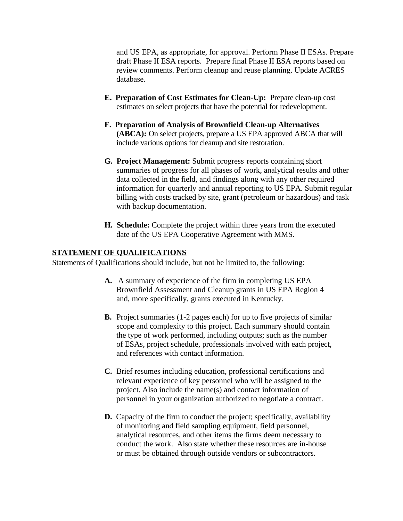and US EPA, as appropriate, for approval. Perform Phase II ESAs. Prepare draft Phase II ESA reports. Prepare final Phase II ESA reports based on review comments. Perform cleanup and reuse planning. Update ACRES database.

- **E. Preparation of Cost Estimates for Clean-Up:** Prepare clean-up cost estimates on select projects that have the potential for redevelopment.
- **F. Preparation of Analysis of Brownfield Clean-up Alternatives (ABCA):** On select projects, prepare a US EPA approved ABCA that will include various options for cleanup and site restoration.
- **G. Project Management:** Submit progress reports containing short summaries of progress for all phases of work, analytical results and other data collected in the field, and findings along with any other required information for quarterly and annual reporting to US EPA. Submit regular billing with costs tracked by site, grant (petroleum or hazardous) and task with backup documentation.
- **H. Schedule:** Complete the project within three years from the executed date of the US EPA Cooperative Agreement with MMS.

#### **STATEMENT OF QUALIFICATIONS**

Statements of Qualifications should include, but not be limited to, the following:

- **A.** A summary of experience of the firm in completing US EPA Brownfield Assessment and Cleanup grants in US EPA Region 4 and, more specifically, grants executed in Kentucky.
- **B.** Project summaries (1-2 pages each) for up to five projects of similar scope and complexity to this project. Each summary should contain the type of work performed, including outputs; such as the number of ESAs, project schedule, professionals involved with each project, and references with contact information.
- **C.** Brief resumes including education, professional certifications and relevant experience of key personnel who will be assigned to the project. Also include the name(s) and contact information of personnel in your organization authorized to negotiate a contract.
- **D.** Capacity of the firm to conduct the project; specifically, availability of monitoring and field sampling equipment, field personnel, analytical resources, and other items the firms deem necessary to conduct the work. Also state whether these resources are in-house or must be obtained through outside vendors or subcontractors.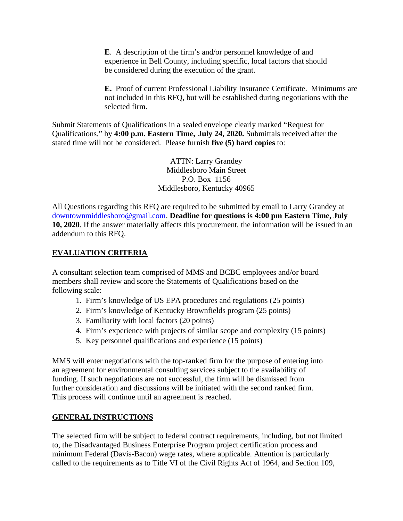**E**. A description of the firm's and/or personnel knowledge of and experience in Bell County, including specific, local factors that should be considered during the execution of the grant.

**E.** Proof of current Professional Liability Insurance Certificate. Minimums are not included in this RFQ, but will be established during negotiations with the selected firm.

Submit Statements of Qualifications in a sealed envelope clearly marked "Request for Qualifications," by **4:00 p.m. Eastern Time, July 24, 2020.** Submittals received after the stated time will not be considered. Please furnish **five (5) hard copies** to:

> ATTN: Larry Grandey Middlesboro Main Street P.O. Box 1156 Middlesboro, Kentucky 40965

All Questions regarding this RFQ are required to be submitted by email to Larry Grandey at [downtownmiddlesboro@gmail.com](mailto:downtownmiddlesboro@gmail.com). **Deadline for questions is 4:00 pm Eastern Time, July 10, 2020**. If the answer materially affects this procurement, the information will be issued in an addendum to this RFQ.

## **EVALUATION CRITERIA**

A consultant selection team comprised of MMS and BCBC employees and/or board members shall review and score the Statements of Qualifications based on the following scale:

- 1. Firm's knowledge of US EPA procedures and regulations (25 points)
- 2. Firm's knowledge of Kentucky Brownfields program (25 points)
- 3. Familiarity with local factors (20 points)
- 4. Firm's experience with projects of similar scope and complexity (15 points)
- 5. Key personnel qualifications and experience (15 points)

MMS will enter negotiations with the top-ranked firm for the purpose of entering into an agreement for environmental consulting services subject to the availability of funding. If such negotiations are not successful, the firm will be dismissed from further consideration and discussions will be initiated with the second ranked firm. This process will continue until an agreement is reached.

### **GENERAL INSTRUCTIONS**

The selected firm will be subject to federal contract requirements, including, but not limited to, the Disadvantaged Business Enterprise Program project certification process and minimum Federal (Davis-Bacon) wage rates, where applicable. Attention is particularly called to the requirements as to Title VI of the Civil Rights Act of 1964, and Section 109,